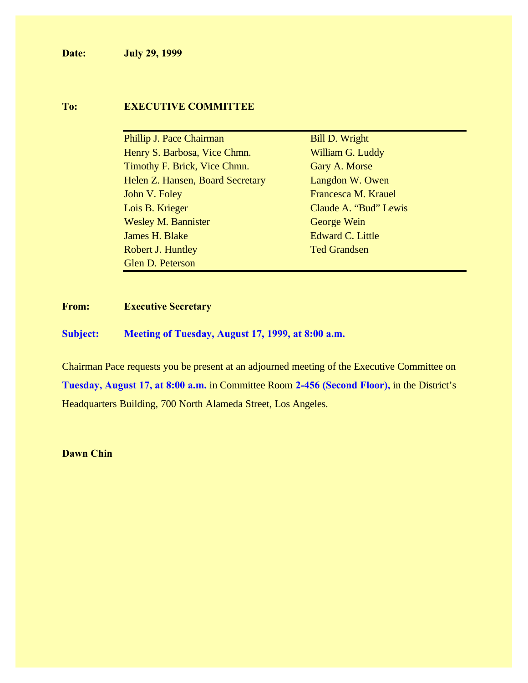**Date: July 29, 1999**

#### **To: EXECUTIVE COMMITTEE**

Phillip J. Pace Chairman Bill D. Wright Henry S. Barbosa, Vice Chmn. William G. Luddy Timothy F. Brick, Vice Chmn. Gary A. Morse Helen Z. Hansen, Board Secretary Langdon W. Owen John V. Foley **Francesca M. Krauel** Lois B. Krieger Claude A. "Bud" Lewis Wesley M. Bannister George Wein **James H. Blake** Edward C. Little Robert J. Huntley Ted Grandsen Glen D. Peterson

#### **From: Executive Secretary**

**Subject: Meeting of Tuesday, August 17, 1999, at 8:00 a.m.**

Chairman Pace requests you be present at an adjourned meeting of the Executive Committee on **Tuesday, August 17, at 8:00 a.m.** in Committee Room **2-456 (Second Floor),** in the District's Headquarters Building, 700 North Alameda Street, Los Angeles.

**Dawn Chin**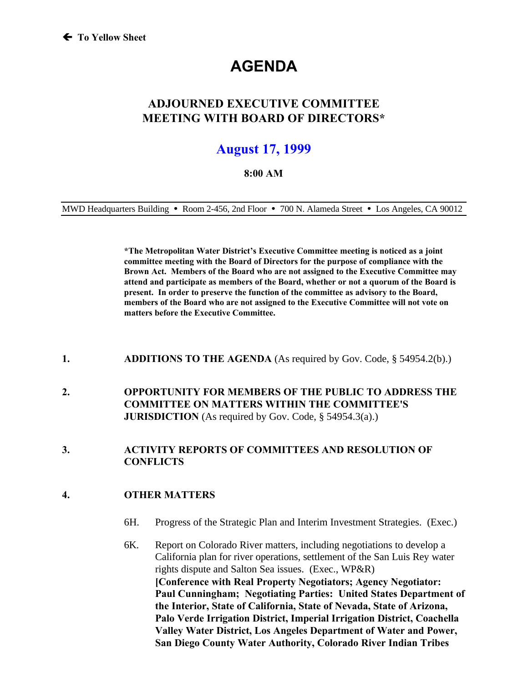# **AGENDA**

### **ADJOURNED EXECUTIVE COMMITTEE MEETING WITH BOARD OF DIRECTORS\***

## **August 17, 1999**

#### **8:00 AM**

MWD Headquarters Building **ü** Room 2-456, 2nd Floor **ü** 700 N. Alameda Street **ü** Los Angeles, CA 90012

**\*The Metropolitan Water District's Executive Committee meeting is noticed as a joint committee meeting with the Board of Directors for the purpose of compliance with the Brown Act. Members of the Board who are not assigned to the Executive Committee may attend and participate as members of the Board, whether or not a quorum of the Board is present. In order to preserve the function of the committee as advisory to the Board, members of the Board who are not assigned to the Executive Committee will not vote on matters before the Executive Committee.**

- **1. ADDITIONS TO THE AGENDA** (As required by Gov. Code, § 54954.2(b).)
- **2. OPPORTUNITY FOR MEMBERS OF THE PUBLIC TO ADDRESS THE COMMITTEE ON MATTERS WITHIN THE COMMITTEE'S JURISDICTION** (As required by Gov. Code, § 54954.3(a).)

#### **3. ACTIVITY REPORTS OF COMMITTEES AND RESOLUTION OF CONFLICTS**

#### **4. OTHER MATTERS**

- 6H. Progress of the Strategic Plan and Interim Investment Strategies. (Exec.)
- 6K. Report on Colorado River matters, including negotiations to develop a California plan for river operations, settlement of the San Luis Rey water rights dispute and Salton Sea issues. (Exec., WP&R) **[Conference with Real Property Negotiators; Agency Negotiator: Paul Cunningham; Negotiating Parties: United States Department of the Interior, State of California, State of Nevada, State of Arizona, Palo Verde Irrigation District, Imperial Irrigation District, Coachella Valley Water District, Los Angeles Department of Water and Power, San Diego County Water Authority, Colorado River Indian Tribes**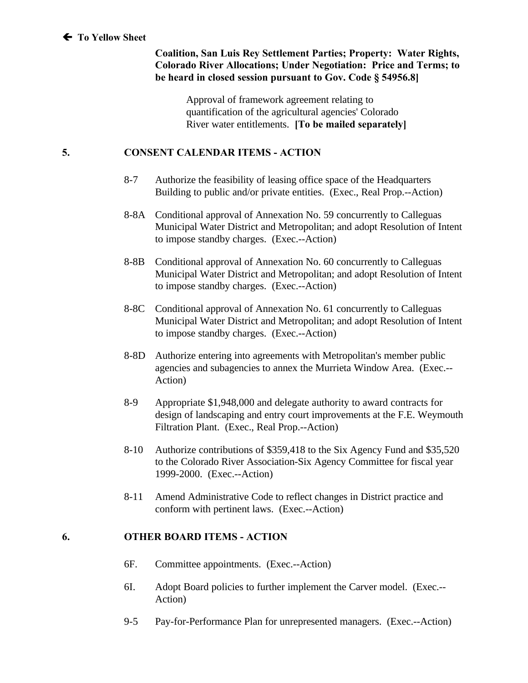**Coalition, San Luis Rey Settlement Parties; Property: Water Rights, Colorado River Allocations; Under Negotiation: Price and Terms; to be heard in closed session pursuant to Gov. Code § 54956.8]**

> Approval of framework agreement relating to quantification of the agricultural agencies' Colorado River water entitlements. **[To be mailed separately]**

#### **5. CONSENT CALENDAR ITEMS - ACTION**

- 8-7 Authorize the feasibility of leasing office space of the Headquarters Building to public and/or private entities. (Exec., Real Prop.--Action)
- 8-8A Conditional approval of Annexation No. 59 concurrently to Calleguas Municipal Water District and Metropolitan; and adopt Resolution of Intent to impose standby charges. (Exec.--Action)
- 8-8B Conditional approval of Annexation No. 60 concurrently to Calleguas Municipal Water District and Metropolitan; and adopt Resolution of Intent to impose standby charges. (Exec.--Action)
- 8-8C Conditional approval of Annexation No. 61 concurrently to Calleguas Municipal Water District and Metropolitan; and adopt Resolution of Intent to impose standby charges. (Exec.--Action)
- 8-8D Authorize entering into agreements with Metropolitan's member public agencies and subagencies to annex the Murrieta Window Area. (Exec.-- Action)
- 8-9 Appropriate \$1,948,000 and delegate authority to award contracts for design of landscaping and entry court improvements at the F.E. Weymouth Filtration Plant. (Exec., Real Prop.--Action)
- 8-10 Authorize contributions of \$359,418 to the Six Agency Fund and \$35,520 to the Colorado River Association-Six Agency Committee for fiscal year 1999-2000. (Exec.--Action)
- 8-11 Amend Administrative Code to reflect changes in District practice and conform with pertinent laws. (Exec.--Action)

#### **6. OTHER BOARD ITEMS - ACTION**

- 6F. Committee appointments. (Exec.--Action)
- 6I. Adopt Board policies to further implement the Carver model. (Exec.-- Action)
- 9-5 Pay-for-Performance Plan for unrepresented managers. (Exec.--Action)